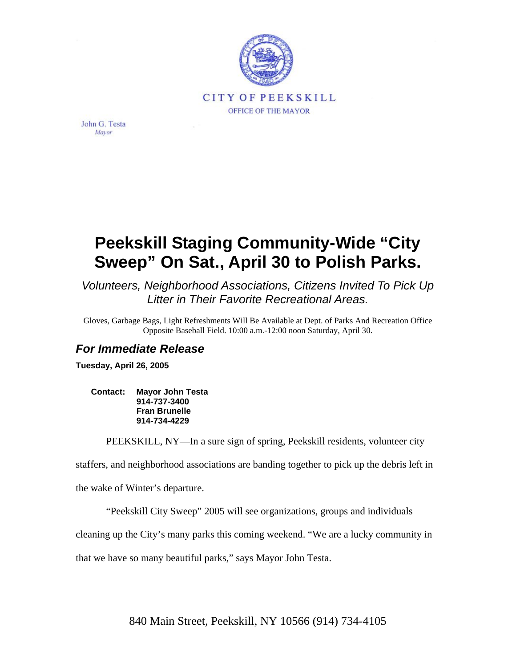

John G. Testa Mayor

## **Peekskill Staging Community-Wide "City Sweep" On Sat., April 30 to Polish Parks.**

*Volunteers, Neighborhood Associations, Citizens Invited To Pick Up Litter in Their Favorite Recreational Areas.* 

Gloves, Garbage Bags, Light Refreshments Will Be Available at Dept. of Parks And Recreation Office Opposite Baseball Field. 10:00 a.m.-12:00 noon Saturday, April 30.

## *For Immediate Release*

**Tuesday, April 26, 2005** 

**Contact: Mayor John Testa 914-737-3400 Fran Brunelle 914-734-4229** 

PEEKSKILL, NY—In a sure sign of spring, Peekskill residents, volunteer city

staffers, and neighborhood associations are banding together to pick up the debris left in

the wake of Winter's departure.

"Peekskill City Sweep" 2005 will see organizations, groups and individuals

cleaning up the City's many parks this coming weekend. "We are a lucky community in

that we have so many beautiful parks," says Mayor John Testa.

840 Main Street, Peekskill, NY 10566 (914) 734-4105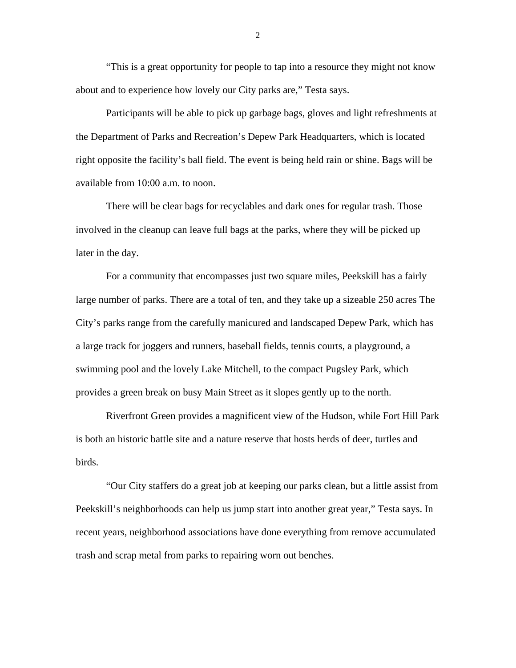"This is a great opportunity for people to tap into a resource they might not know about and to experience how lovely our City parks are," Testa says.

Participants will be able to pick up garbage bags, gloves and light refreshments at the Department of Parks and Recreation's Depew Park Headquarters, which is located right opposite the facility's ball field. The event is being held rain or shine. Bags will be available from 10:00 a.m. to noon.

There will be clear bags for recyclables and dark ones for regular trash. Those involved in the cleanup can leave full bags at the parks, where they will be picked up later in the day.

For a community that encompasses just two square miles, Peekskill has a fairly large number of parks. There are a total of ten, and they take up a sizeable 250 acres The City's parks range from the carefully manicured and landscaped Depew Park, which has a large track for joggers and runners, baseball fields, tennis courts, a playground, a swimming pool and the lovely Lake Mitchell, to the compact Pugsley Park, which provides a green break on busy Main Street as it slopes gently up to the north.

Riverfront Green provides a magnificent view of the Hudson, while Fort Hill Park is both an historic battle site and a nature reserve that hosts herds of deer, turtles and birds.

"Our City staffers do a great job at keeping our parks clean, but a little assist from Peekskill's neighborhoods can help us jump start into another great year," Testa says. In recent years, neighborhood associations have done everything from remove accumulated trash and scrap metal from parks to repairing worn out benches.

2